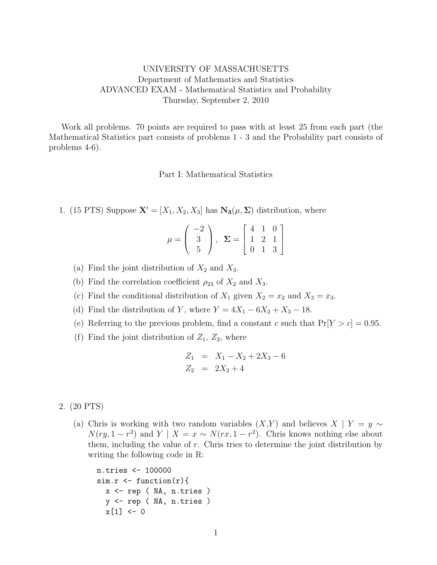## UNIVERSITY OF MASSACHUSETTS Department of Mathematics and Statistics ADVANCED EXAM - Mathematical Statistics and Probability Thursday, September 2, 2010

Work all problems. 70 points are required to pass with at least 25 from each part (the Mathematical Statistics part consists of problems 1 - 3 and the Probability part consists of problems 4-6).

Part I: Mathematical Statistics

1. (15 PTS) Suppose  $\mathbf{X}' = [X_1, X_2, X_3]$  has  $\mathbf{N}_3(\mu, \Sigma)$  distribution, where

$$
\mu = \begin{pmatrix} -2 \\ 3 \\ 5 \end{pmatrix}, \ \ \Sigma = \begin{bmatrix} 4 & 1 & 0 \\ 1 & 2 & 1 \\ 0 & 1 & 3 \end{bmatrix}
$$

- (a) Find the joint distribution of  $X_2$  and  $X_3$ .
- (b) Find the correlation coefficient  $\rho_{23}$  of  $X_2$  and  $X_3$ .
- (c) Find the conditional distribution of  $X_1$  given  $X_2 = x_2$  and  $X_3 = x_3$ .
- (d) Find the distribution of Y, where  $Y = 4X_1 6X_2 + X_3 18$ .
- (e) Referring to the previous problem, find a constant c such that  $Pr[Y > c] = 0.95$ .
- (f) Find the joint distribution of  $Z_1, Z_2$ , where

$$
Z_1 = X_1 - X_2 + 2X_3 - 6
$$
  

$$
Z_2 = 2X_2 + 4
$$

2. (20 PTS)

(a) Chris is working with two random variables  $(X,Y)$  and believes  $X \mid Y = y \sim$  $N(ry, 1 - r^2)$  and  $Y \mid X = x \sim N(rx, 1 - r^2)$ . Chris knows nothing else about them, including the value of  $r$ . Chris tries to determine the joint distribution by writing the following code in R:

```
n.tries <- 100000
sim.r <- function(r){
  x <- rep ( NA, n.tries )
  y <- rep ( NA, n.tries )
  x[1] < -0
```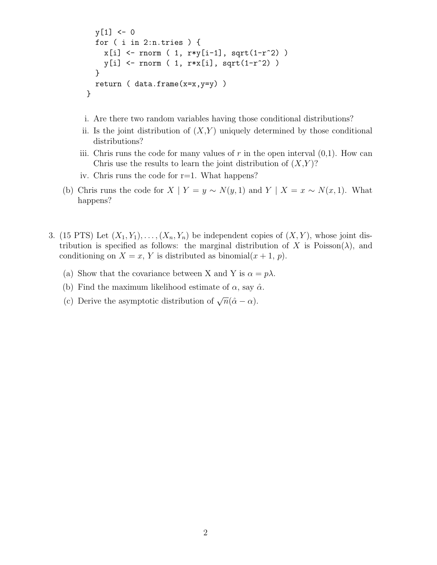```
y[1] < -0for ( i in 2:n.tries ) {
    x[i] <- rnorm ( 1, r*y[i-1], sqrt(1-r^2) )
    y[i] <- rnorm ( 1, r*x[i], sqrt(1-r^2) )
  }
  return ( data-frame(x=x,y=y) )
}
```
- i. Are there two random variables having those conditional distributions?
- ii. Is the joint distribution of  $(X,Y)$  uniquely determined by those conditional distributions?
- iii. Chris runs the code for many values of  $r$  in the open interval  $(0,1)$ . How can Chris use the results to learn the joint distribution of  $(X, Y)$ ?
- iv. Chris runs the code for r=1. What happens?
- (b) Chris runs the code for  $X \mid Y = y \sim N(y, 1)$  and  $Y \mid X = x \sim N(x, 1)$ . What happens?
- 3. (15 PTS) Let  $(X_1, Y_1), \ldots, (X_n, Y_n)$  be independent copies of  $(X, Y)$ , whose joint distribution is specified as follows: the marginal distribution of X is  $Poisson(\lambda)$ , and conditioning on  $X = x$ , Y is distributed as binomial $(x + 1, p)$ .
	- (a) Show that the covariance between X and Y is  $\alpha = p\lambda$ .
	- (b) Find the maximum likelihood estimate of  $\alpha$ , say  $\hat{\alpha}$ .
	- (c) Derive the asymptotic distribution of  $\sqrt{n}(\hat{\alpha} \alpha)$ .